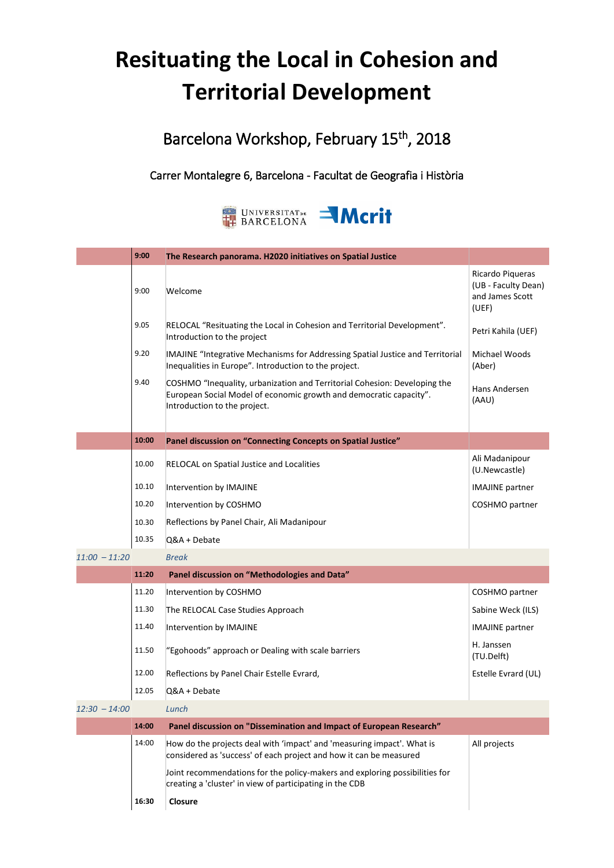## **Resituating the Local in Cohesion and Territorial Development**

Barcelona Workshop, February 15<sup>th</sup>, 2018

## Carrer Montalegre 6, Barcelona - Facultat de Geografia i Història



|                 | 9:00  | The Research panorama. H2020 initiatives on Spatial Justice                                                                                                                     |                                                                     |
|-----------------|-------|---------------------------------------------------------------------------------------------------------------------------------------------------------------------------------|---------------------------------------------------------------------|
|                 | 9:00  | Welcome                                                                                                                                                                         | Ricardo Piqueras<br>(UB - Faculty Dean)<br>and James Scott<br>(UEF) |
|                 | 9.05  | RELOCAL "Resituating the Local in Cohesion and Territorial Development".<br>Introduction to the project                                                                         | Petri Kahila (UEF)                                                  |
|                 | 9.20  | IMAJINE "Integrative Mechanisms for Addressing Spatial Justice and Territorial<br>Inequalities in Europe". Introduction to the project.                                         | Michael Woods<br>(Aber)                                             |
|                 | 9.40  | COSHMO "Inequality, urbanization and Territorial Cohesion: Developing the<br>European Social Model of economic growth and democratic capacity".<br>Introduction to the project. | Hans Andersen<br>(AAU)                                              |
|                 | 10:00 | Panel discussion on "Connecting Concepts on Spatial Justice"                                                                                                                    |                                                                     |
|                 | 10.00 | RELOCAL on Spatial Justice and Localities                                                                                                                                       | Ali Madanipour<br>(U.Newcastle)                                     |
|                 | 10.10 | Intervention by IMAJINE                                                                                                                                                         | <b>IMAJINE</b> partner                                              |
|                 | 10.20 | Intervention by COSHMO                                                                                                                                                          | COSHMO partner                                                      |
|                 | 10.30 | Reflections by Panel Chair, Ali Madanipour                                                                                                                                      |                                                                     |
|                 | 10.35 | Q&A + Debate                                                                                                                                                                    |                                                                     |
| $11:00 - 11:20$ |       | <b>Break</b>                                                                                                                                                                    |                                                                     |
|                 | 11:20 | Panel discussion on "Methodologies and Data"                                                                                                                                    |                                                                     |
|                 | 11.20 | Intervention by COSHMO                                                                                                                                                          | COSHMO partner                                                      |
|                 | 11.30 | The RELOCAL Case Studies Approach                                                                                                                                               | Sabine Weck (ILS)                                                   |
|                 | 11.40 | Intervention by IMAJINE                                                                                                                                                         | <b>IMAJINE</b> partner                                              |
|                 | 11.50 | "Egohoods" approach or Dealing with scale barriers                                                                                                                              | H. Janssen<br>(TU.Delft)                                            |
|                 | 12.00 | Reflections by Panel Chair Estelle Evrard,                                                                                                                                      | Estelle Evrard (UL)                                                 |
|                 | 12.05 | Q&A + Debate                                                                                                                                                                    |                                                                     |
| $12:30 - 14:00$ |       | Lunch                                                                                                                                                                           |                                                                     |
|                 | 14:00 | Panel discussion on "Dissemination and Impact of European Research"                                                                                                             |                                                                     |
|                 | 14:00 | How do the projects deal with 'impact' and 'measuring impact'. What is<br>considered as 'success' of each project and how it can be measured                                    | All projects                                                        |
|                 |       | Joint recommendations for the policy-makers and exploring possibilities for<br>creating a 'cluster' in view of participating in the CDB                                         |                                                                     |
|                 | 16:30 | Closure                                                                                                                                                                         |                                                                     |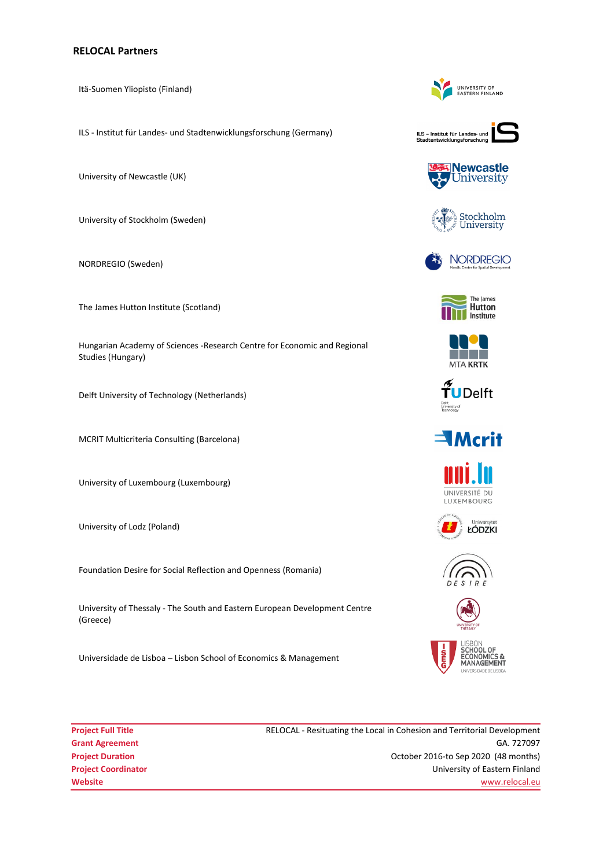## **RELOCAL Partners**

Itä-Suomen Yliopisto (Finland)

ILS - Institut für Landes- und Stadtenwicklungsforschung (Germany)

University of Newcastle (UK)

University of Stockholm (Sweden)

NORDREGIO (Sweden)

The James Hutton Institute (Scotland)

Hungarian Academy of Sciences -Research Centre for Economic and Regional Studies (Hungary)

Delft University of Technology (Netherlands)

MCRIT Multicriteria Consulting (Barcelona)

University of Luxembourg (Luxembourg)

University of Lodz (Poland)

Foundation Desire for Social Reflection and Openness (Romania)

University of Thessaly - The South and Eastern European Development Centre (Greece)

Universidade de Lisboa – Lisbon School of Economics & Management

**Project Full Title RELOCAL - Resituating the Local in Cohesion and Territorial Development Grant Agreement** GA. 727097 **Project Duration Project Duration COLOGIST 2016-to Sep 2020** (48 months) **Project Coordinator** University of Eastern Finland **Website** www.relocal.eu